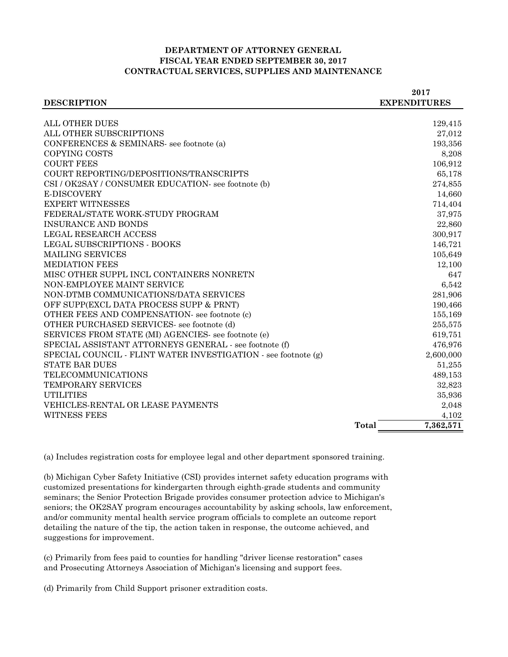## **DEPARTMENT OF ATTORNEY GENERAL FISCAL YEAR ENDED SEPTEMBER 30, 2017 CONTRACTUAL SERVICES, SUPPLIES AND MAINTENANCE**

|                                                                | 2017                |
|----------------------------------------------------------------|---------------------|
| <b>DESCRIPTION</b>                                             | <b>EXPENDITURES</b> |
|                                                                |                     |
| <b>ALL OTHER DUES</b>                                          | 129,415             |
| ALL OTHER SUBSCRIPTIONS                                        | 27,012              |
| CONFERENCES & SEMINARS- see footnote (a)                       | 193,356             |
| COPYING COSTS                                                  | 8,208               |
| <b>COURT FEES</b>                                              | 106,912             |
| COURT REPORTING/DEPOSITIONS/TRANSCRIPTS                        | 65,178              |
| CSI / OK2SAY / CONSUMER EDUCATION- see footnote (b)            | 274,855             |
| <b>E-DISCOVERY</b>                                             | 14,660              |
| <b>EXPERT WITNESSES</b>                                        | 714,404             |
| FEDERAL/STATE WORK-STUDY PROGRAM                               | 37,975              |
| <b>INSURANCE AND BONDS</b>                                     | 22,860              |
| <b>LEGAL RESEARCH ACCESS</b>                                   | 300,917             |
| LEGAL SUBSCRIPTIONS - BOOKS                                    | 146,721             |
| <b>MAILING SERVICES</b>                                        | 105,649             |
| <b>MEDIATION FEES</b>                                          | 12,100              |
| MISC OTHER SUPPL INCL CONTAINERS NONRETN                       | 647                 |
| NON-EMPLOYEE MAINT SERVICE                                     | 6,542               |
| NON-DTMB COMMUNICATIONS/DATA SERVICES                          | 281,906             |
| OFF SUPP(EXCL DATA PROCESS SUPP & PRNT)                        | 190,466             |
| OTHER FEES AND COMPENSATION- see footnote (c)                  | 155,169             |
| OTHER PURCHASED SERVICES- see footnote (d)                     | 255,575             |
| SERVICES FROM STATE (MI) AGENCIES- see footnote (e)            | 619,751             |
| SPECIAL ASSISTANT ATTORNEYS GENERAL - see footnote (f)         | 476,976             |
| SPECIAL COUNCIL - FLINT WATER INVESTIGATION - see footnote (g) | 2,600,000           |
| <b>STATE BAR DUES</b>                                          | 51,255              |
| TELECOMMUNICATIONS                                             | 489,153             |
| TEMPORARY SERVICES                                             | 32,823              |
| <b>UTILITIES</b>                                               | 35,936              |
| <b>VEHICLES-RENTAL OR LEASE PAYMENTS</b>                       | 2,048               |
| <b>WITNESS FEES</b>                                            | 4,102               |
|                                                                | Total<br>7,362,571  |

(a) Includes registration costs for employee legal and other department sponsored training.

(b) Michigan Cyber Safety Initiative (CSI) provides internet safety education programs with customized presentations for kindergarten through eighth-grade students and community seminars; the Senior Protection Brigade provides consumer protection advice to Michigan's seniors; the OK2SAY program encourages accountability by asking schools, law enforcement, and/or community mental health service program officials to complete an outcome report detailing the nature of the tip, the action taken in response, the outcome achieved, and suggestions for improvement.

(c) Primarily from fees paid to counties for handling "driver license restoration" cases and Prosecuting Attorneys Association of Michigan's licensing and support fees.

(d) Primarily from Child Support prisoner extradition costs.